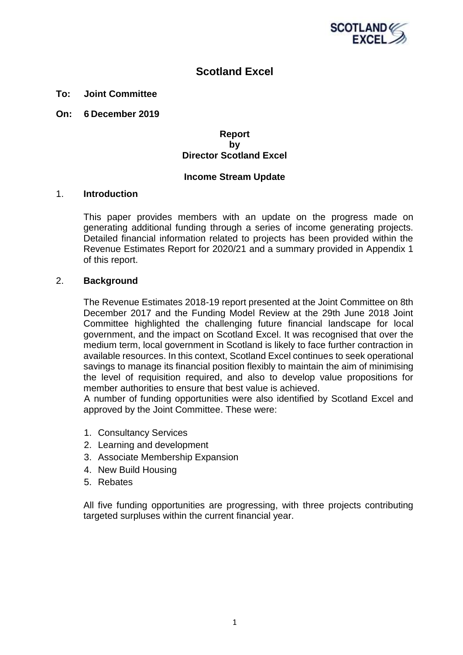

## **Scotland Excel**

#### **To: Joint Committee**

**On: 6 December 2019**

#### **Report by Director Scotland Excel**

#### **Income Stream Update**

#### 1. **Introduction**

This paper provides members with an update on the progress made on generating additional funding through a series of income generating projects. Detailed financial information related to projects has been provided within the Revenue Estimates Report for 2020/21 and a summary provided in Appendix 1 of this report.

#### 2. **Background**

The Revenue Estimates 2018-19 report presented at the Joint Committee on 8th December 2017 and the Funding Model Review at the 29th June 2018 Joint Committee highlighted the challenging future financial landscape for local government, and the impact on Scotland Excel. It was recognised that over the medium term, local government in Scotland is likely to face further contraction in available resources. In this context, Scotland Excel continues to seek operational savings to manage its financial position flexibly to maintain the aim of minimising the level of requisition required, and also to develop value propositions for member authorities to ensure that best value is achieved.

A number of funding opportunities were also identified by Scotland Excel and approved by the Joint Committee. These were:

- 1. Consultancy Services
- 2. Learning and development
- 3. Associate Membership Expansion
- 4. New Build Housing
- 5. Rebates

All five funding opportunities are progressing, with three projects contributing targeted surpluses within the current financial year.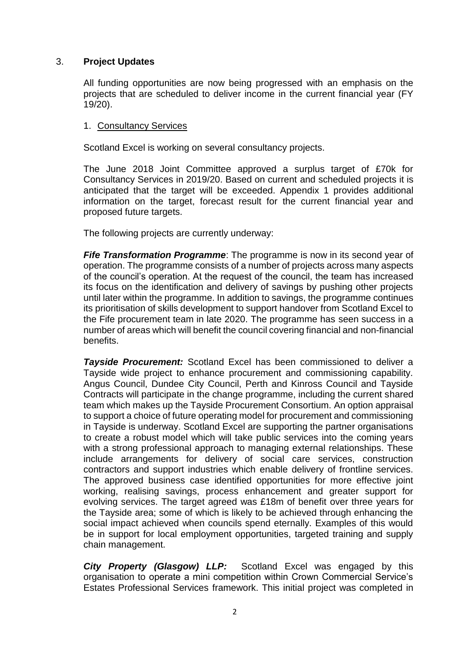## 3. **Project Updates**

All funding opportunities are now being progressed with an emphasis on the projects that are scheduled to deliver income in the current financial year (FY 19/20).

## 1. Consultancy Services

Scotland Excel is working on several consultancy projects.

The June 2018 Joint Committee approved a surplus target of £70k for Consultancy Services in 2019/20. Based on current and scheduled projects it is anticipated that the target will be exceeded. Appendix 1 provides additional information on the target, forecast result for the current financial year and proposed future targets.

The following projects are currently underway:

*Fife Transformation Programme*: The programme is now in its second year of operation. The programme consists of a number of projects across many aspects of the council's operation. At the request of the council, the team has increased its focus on the identification and delivery of savings by pushing other projects until later within the programme. In addition to savings, the programme continues its prioritisation of skills development to support handover from Scotland Excel to the Fife procurement team in late 2020. The programme has seen success in a number of areas which will benefit the council covering financial and non-financial benefits.

*Tayside Procurement:* Scotland Excel has been commissioned to deliver a Tayside wide project to enhance procurement and commissioning capability. Angus Council, Dundee City Council, Perth and Kinross Council and Tayside Contracts will participate in the change programme, including the current shared team which makes up the Tayside Procurement Consortium. An option appraisal to support a choice of future operating model for procurement and commissioning in Tayside is underway. Scotland Excel are supporting the partner organisations to create a robust model which will take public services into the coming years with a strong professional approach to managing external relationships. These include arrangements for delivery of social care services, construction contractors and support industries which enable delivery of frontline services. The approved business case identified opportunities for more effective joint working, realising savings, process enhancement and greater support for evolving services. The target agreed was £18m of benefit over three years for the Tayside area; some of which is likely to be achieved through enhancing the social impact achieved when councils spend eternally. Examples of this would be in support for local employment opportunities, targeted training and supply chain management.

*City Property (Glasgow) LLP:* Scotland Excel was engaged by this organisation to operate a mini competition within Crown Commercial Service's Estates Professional Services framework. This initial project was completed in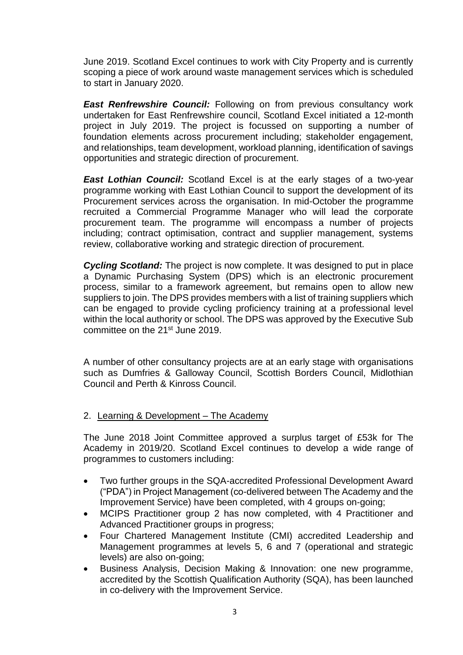June 2019. Scotland Excel continues to work with City Property and is currently scoping a piece of work around waste management services which is scheduled to start in January 2020.

**East Renfrewshire Council:** Following on from previous consultancy work undertaken for East Renfrewshire council, Scotland Excel initiated a 12-month project in July 2019. The project is focussed on supporting a number of foundation elements across procurement including; stakeholder engagement, and relationships, team development, workload planning, identification of savings opportunities and strategic direction of procurement.

*East Lothian Council:* Scotland Excel is at the early stages of a two-year programme working with East Lothian Council to support the development of its Procurement services across the organisation. In mid-October the programme recruited a Commercial Programme Manager who will lead the corporate procurement team. The programme will encompass a number of projects including; contract optimisation, contract and supplier management, systems review, collaborative working and strategic direction of procurement.

*Cycling Scotland:* The project is now complete. It was designed to put in place a Dynamic Purchasing System (DPS) which is an electronic procurement process, similar to a framework agreement, but remains open to allow new suppliers to join. The DPS provides members with a list of training suppliers which can be engaged to provide cycling proficiency training at a professional level within the local authority or school. The DPS was approved by the Executive Sub committee on the 21st June 2019.

A number of other consultancy projects are at an early stage with organisations such as Dumfries & Galloway Council, Scottish Borders Council, Midlothian Council and Perth & Kinross Council.

## 2. Learning & Development - The Academy

The June 2018 Joint Committee approved a surplus target of £53k for The Academy in 2019/20. Scotland Excel continues to develop a wide range of programmes to customers including:

- Two further groups in the SQA-accredited Professional Development Award ("PDA") in Project Management (co-delivered between The Academy and the Improvement Service) have been completed, with 4 groups on-going;
- MCIPS Practitioner group 2 has now completed, with 4 Practitioner and Advanced Practitioner groups in progress;
- Four Chartered Management Institute (CMI) accredited Leadership and Management programmes at levels 5, 6 and 7 (operational and strategic levels) are also on-going;
- Business Analysis, Decision Making & Innovation: one new programme, accredited by the Scottish Qualification Authority (SQA), has been launched in co-delivery with the Improvement Service.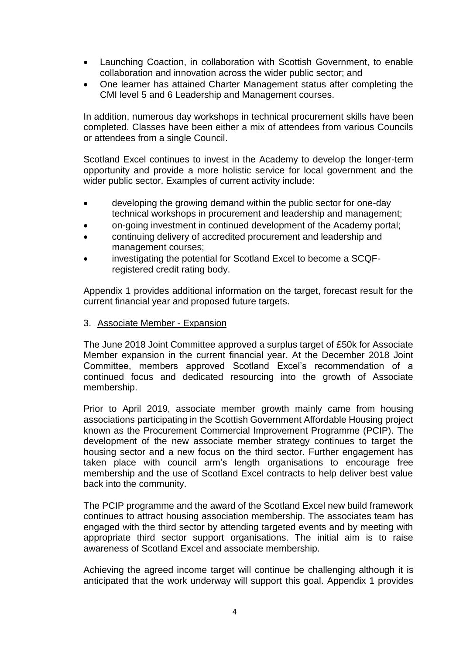- Launching Coaction, in collaboration with Scottish Government, to enable collaboration and innovation across the wider public sector; and
- One learner has attained Charter Management status after completing the CMI level 5 and 6 Leadership and Management courses.

In addition, numerous day workshops in technical procurement skills have been completed. Classes have been either a mix of attendees from various Councils or attendees from a single Council.

Scotland Excel continues to invest in the Academy to develop the longer-term opportunity and provide a more holistic service for local government and the wider public sector. Examples of current activity include:

- developing the growing demand within the public sector for one-day technical workshops in procurement and leadership and management;
- on-going investment in continued development of the Academy portal;
- continuing delivery of accredited procurement and leadership and management courses;
- investigating the potential for Scotland Excel to become a SCQFregistered credit rating body.

Appendix 1 provides additional information on the target, forecast result for the current financial year and proposed future targets.

3. Associate Member - Expansion

The June 2018 Joint Committee approved a surplus target of £50k for Associate Member expansion in the current financial year. At the December 2018 Joint Committee, members approved Scotland Excel's recommendation of a continued focus and dedicated resourcing into the growth of Associate membership.

Prior to April 2019, associate member growth mainly came from housing associations participating in the Scottish Government Affordable Housing project known as the Procurement Commercial Improvement Programme (PCIP). The development of the new associate member strategy continues to target the housing sector and a new focus on the third sector. Further engagement has taken place with council arm's length organisations to encourage free membership and the use of Scotland Excel contracts to help deliver best value back into the community.

The PCIP programme and the award of the Scotland Excel new build framework continues to attract housing association membership. The associates team has engaged with the third sector by attending targeted events and by meeting with appropriate third sector support organisations. The initial aim is to raise awareness of Scotland Excel and associate membership.

Achieving the agreed income target will continue be challenging although it is anticipated that the work underway will support this goal. Appendix 1 provides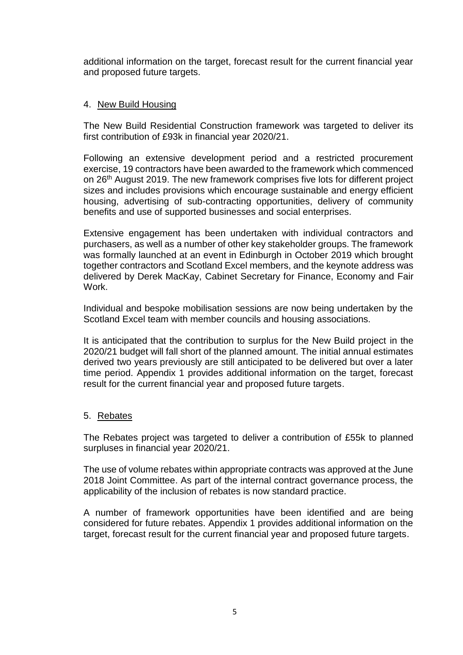additional information on the target, forecast result for the current financial year and proposed future targets.

## 4. New Build Housing

The New Build Residential Construction framework was targeted to deliver its first contribution of £93k in financial year 2020/21.

Following an extensive development period and a restricted procurement exercise, 19 contractors have been awarded to the framework which commenced on 26<sup>th</sup> August 2019. The new framework comprises five lots for different project sizes and includes provisions which encourage sustainable and energy efficient housing, advertising of sub-contracting opportunities, delivery of community benefits and use of supported businesses and social enterprises.

Extensive engagement has been undertaken with individual contractors and purchasers, as well as a number of other key stakeholder groups. The framework was formally launched at an event in Edinburgh in October 2019 which brought together contractors and Scotland Excel members, and the keynote address was delivered by Derek MacKay, Cabinet Secretary for Finance, Economy and Fair Work.

Individual and bespoke mobilisation sessions are now being undertaken by the Scotland Excel team with member councils and housing associations.

It is anticipated that the contribution to surplus for the New Build project in the 2020/21 budget will fall short of the planned amount. The initial annual estimates derived two years previously are still anticipated to be delivered but over a later time period. Appendix 1 provides additional information on the target, forecast result for the current financial year and proposed future targets.

## 5. Rebates

The Rebates project was targeted to deliver a contribution of £55k to planned surpluses in financial year 2020/21.

The use of volume rebates within appropriate contracts was approved at the June 2018 Joint Committee. As part of the internal contract governance process, the applicability of the inclusion of rebates is now standard practice.

A number of framework opportunities have been identified and are being considered for future rebates. Appendix 1 provides additional information on the target, forecast result for the current financial year and proposed future targets.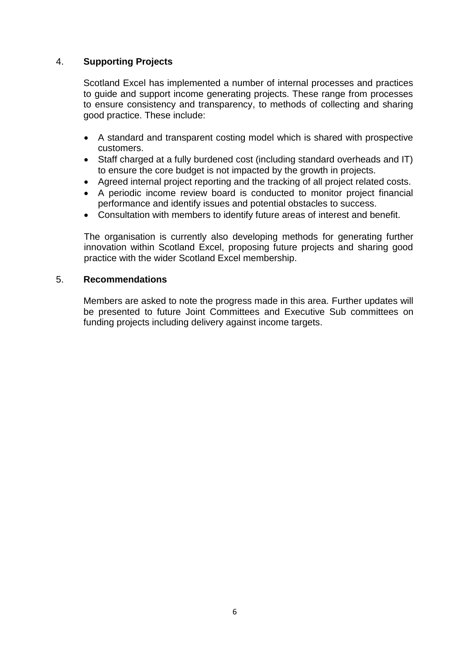## 4. **Supporting Projects**

Scotland Excel has implemented a number of internal processes and practices to guide and support income generating projects. These range from processes to ensure consistency and transparency, to methods of collecting and sharing good practice. These include:

- A standard and transparent costing model which is shared with prospective customers.
- Staff charged at a fully burdened cost (including standard overheads and IT) to ensure the core budget is not impacted by the growth in projects.
- Agreed internal project reporting and the tracking of all project related costs.
- A periodic income review board is conducted to monitor project financial performance and identify issues and potential obstacles to success.
- Consultation with members to identify future areas of interest and benefit.

The organisation is currently also developing methods for generating further innovation within Scotland Excel, proposing future projects and sharing good practice with the wider Scotland Excel membership.

#### 5. **Recommendations**

Members are asked to note the progress made in this area. Further updates will be presented to future Joint Committees and Executive Sub committees on funding projects including delivery against income targets.